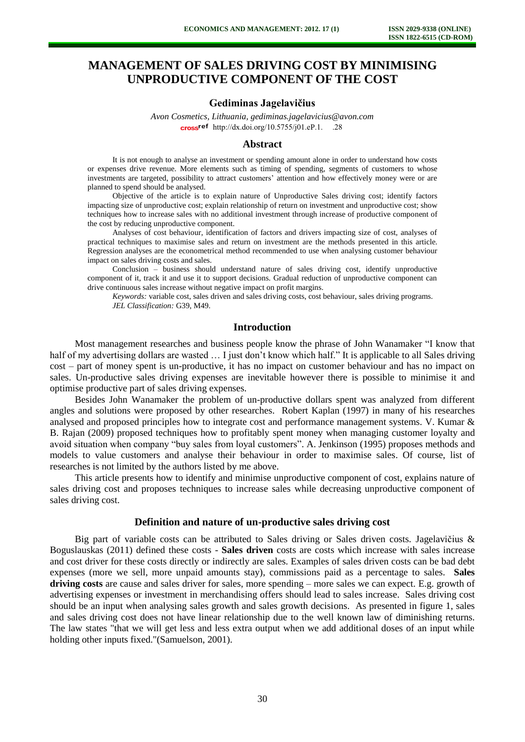# **MANAGEMENT OF SALES DRIVING COST BY MINIMISING UNPRODUCTIVE COMPONENT OF THE COST**

### **Gediminas Jagelavičius**

*Avon Cosmetics, Lithuania, gediminas.jagelavicius@avon.com*  cross<sup>ref</sup> http://dx.doi.org/10.5755/j01.eP.1. .268

#### **Abstract**

It is not enough to analyse an investment or spending amount alone in order to understand how costs or expenses drive revenue. More elements such as timing of spending, segments of customers to whose investments are targeted, possibility to attract customers' attention and how effectively money were or are planned to spend should be analysed.

Objective of the article is to explain nature of Unproductive Sales driving cost; identify factors impacting size of unproductive cost; explain relationship of return on investment and unproductive cost; show techniques how to increase sales with no additional investment through increase of productive component of the cost by reducing unproductive component.

Analyses of cost behaviour, identification of factors and drivers impacting size of cost, analyses of practical techniques to maximise sales and return on investment are the methods presented in this article. Regression analyses are the econometrical method recommended to use when analysing customer behaviour impact on sales driving costs and sales.

Conclusion – business should understand nature of sales driving cost, identify unproductive component of it, track it and use it to support decisions. Gradual reduction of unproductive component can drive continuous sales increase without negative impact on profit margins.

*Keywords:* variable cost, sales driven and sales driving costs, cost behaviour, sales driving programs. *JEL Classification:* G39, M49.

### **Introduction**

Most management researches and business people know the phrase of John Wanamaker "I know that half of my advertising dollars are wasted ... I just don't know which half." It is applicable to all Sales driving cost – part of money spent is un-productive, it has no impact on customer behaviour and has no impact on sales. Un-productive sales driving expenses are inevitable however there is possible to minimise it and optimise productive part of sales driving expenses.

Besides John Wanamaker the problem of un-productive dollars spent was analyzed from different angles and solutions were proposed by other researches. Robert Kaplan (1997) in many of his researches analysed and proposed principles how to integrate cost and performance management systems. V. Kumar & B. Rajan (2009) proposed techniques how to profitably spent money when managing customer loyalty and avoid situation when company "buy sales from loyal customers". A. Jenkinson (1995) proposes methods and models to value customers and analyse their behaviour in order to maximise sales. Of course, list of researches is not limited by the authors listed by me above.

This article presents how to identify and minimise unproductive component of cost, explains nature of sales driving cost and proposes techniques to increase sales while decreasing unproductive component of sales driving cost.

## **Definition and nature of un-productive sales driving cost**

Big part of variable costs can be attributed to Sales driving or Sales driven costs. Jagelavičius & Boguslauskas (2011) defined these costs - **Sales driven** costs are costs which increase with sales increase and cost driver for these costs directly or indirectly are sales. Examples of sales driven costs can be bad debt expenses (more we sell, more unpaid amounts stay), commissions paid as a percentage to sales. **Sales driving costs** are cause and sales driver for sales, more spending – more sales we can expect. E.g. growth of advertising expenses or investment in merchandising offers should lead to sales increase. Sales driving cost should be an input when analysing sales growth and sales growth decisions. As presented in figure 1, sales and sales driving cost does not have linear relationship due to the well known law of diminishing returns. The law states "that we will get less and less extra output when we add additional doses of an input while holding other inputs fixed."(Samuelson, 2001).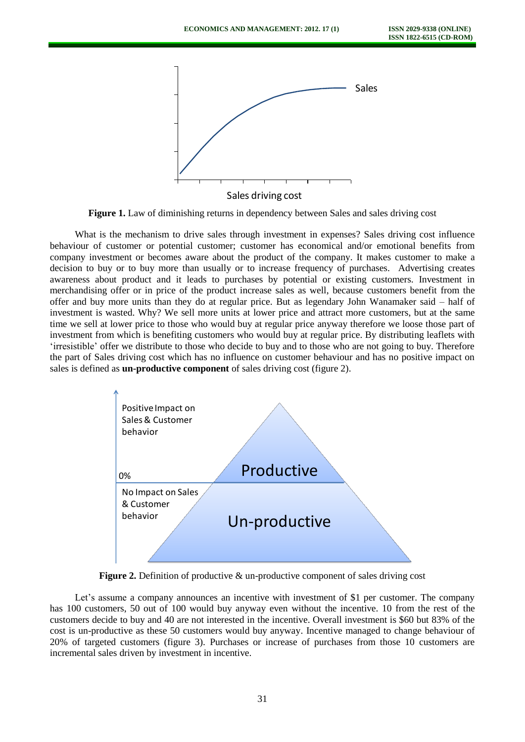

Figure 1. Law of diminishing returns in dependency between Sales and sales driving cost

What is the mechanism to drive sales through investment in expenses? Sales driving cost influence behaviour of customer or potential customer; customer has economical and/or emotional benefits from company investment or becomes aware about the product of the company. It makes customer to make a decision to buy or to buy more than usually or to increase frequency of purchases. Advertising creates awareness about product and it leads to purchases by potential or existing customers. Investment in merchandising offer or in price of the product increase sales as well, because customers benefit from the offer and buy more units than they do at regular price. But as legendary John Wanamaker said – half of investment is wasted. Why? We sell more units at lower price and attract more customers, but at the same time we sell at lower price to those who would buy at regular price anyway therefore we loose those part of investment from which is benefiting customers who would buy at regular price. By distributing leaflets with 'irresistible' offer we distribute to those who decide to buy and to those who are not going to buy. Therefore the part of Sales driving cost which has no influence on customer behaviour and has no positive impact on sales is defined as **un-productive component** of sales driving cost (figure 2).



**Figure 2.** Definition of productive & un-productive component of sales driving cost

Let's assume a company announces an incentive with investment of \$1 per customer. The company has 100 customers, 50 out of 100 would buy anyway even without the incentive. 10 from the rest of the customers decide to buy and 40 are not interested in the incentive. Overall investment is \$60 but 83% of the cost is un-productive as these 50 customers would buy anyway. Incentive managed to change behaviour of 20% of targeted customers (figure 3). Purchases or increase of purchases from those 10 customers are incremental sales driven by investment in incentive.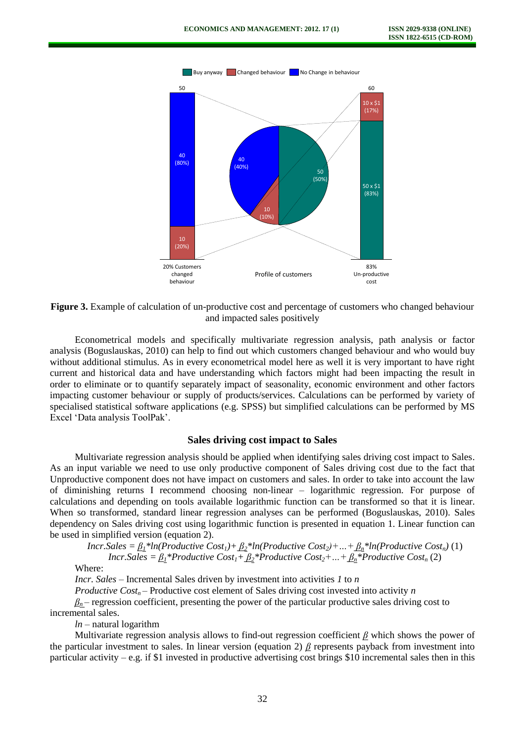

**Figure 3.** Example of calculation of un-productive cost and percentage of customers who changed behaviour and impacted sales positively

Econometrical models and specifically multivariate regression analysis, path analysis or factor analysis (Boguslauskas, 2010) can help to find out which customers changed behaviour and who would buy without additional stimulus. As in every econometrical model here as well it is very important to have right current and historical data and have understanding which factors might had been impacting the result in order to eliminate or to quantify separately impact of seasonality, economic environment and other factors impacting customer behaviour or supply of products/services. Calculations can be performed by variety of specialised statistical software applications (e.g. SPSS) but simplified calculations can be performed by MS Excel 'Data analysis ToolPak'.

### **Sales driving cost impact to Sales**

Multivariate regression analysis should be applied when identifying sales driving cost impact to Sales. As an input variable we need to use only productive component of Sales driving cost due to the fact that Unproductive component does not have impact on customers and sales. In order to take into account the law of diminishing returns I recommend choosing non-linear – logarithmic regression. For purpose of calculations and depending on tools available logarithmic function can be transformed so that it is linear. When so transformed, standard linear regression analyses can be performed (Boguslauskas, 2010). Sales dependency on Sales driving cost using logarithmic function is presented in equation 1. Linear function can be used in simplified version (equation 2).

*Incr.Sales* =  $\underline{\beta_1}$ <sup>\*</sup>*ln*(*Productive Cost<sub>1</sub></sub>)+* $\underline{\beta_2}$ *<sup>\*</sup><i>ln*(*Productive Cost<sub>2</sub>)+...+* $\underline{\beta_n}$ *<sup>\*</sup><i>ln*(*Productive Cost<sub>n</sub></sub>)*(1)

*Incr.Sales* =  $\underline{\beta_1}$ <sup>\*</sup>*Productive Cost*<sub>*1</sub>* +  $\underline{\beta_2}$ <sup>\*</sup>*Productive Cost*<sub>2</sub><sup>+</sup> ... +  $\underline{\beta_n}$ <sup>\*</sup>*Productive Cost<sub>n</sub>* (2)</sub>

Where:

*Incr. Sales* – Incremental Sales driven by investment into activities *1* to *n* 

*Productive Cost<sub>n</sub>* – Productive cost element of Sales driving cost invested into activity *n* 

 *– regression coefficient, presenting the power of the particular productive sales driving cost to* incremental sales.

*ln –* natural logarithm

Multivariate regression analysis allows to find-out regression coefficient *β* which shows the power of the particular investment to sales. In linear version (equation 2) *β* represents payback from investment into particular activity – e.g. if \$1 invested in productive advertising cost brings \$10 incremental sales then in this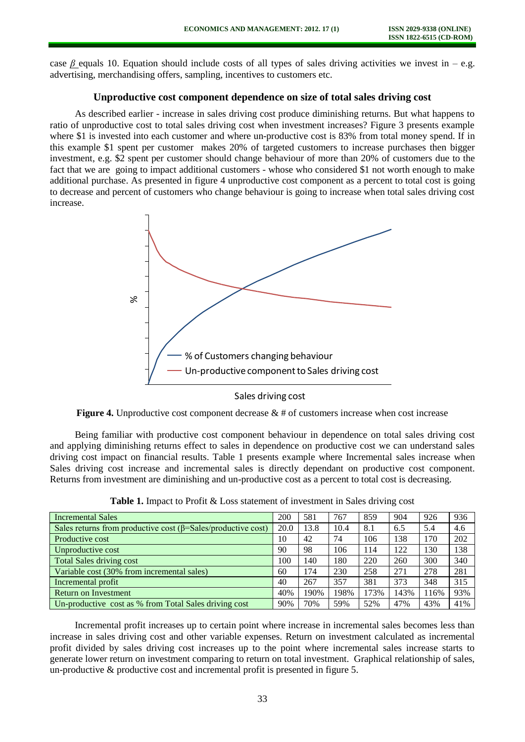case *β* equals 10. Equation should include costs of all types of sales driving activities we invest in – e.g. advertising, merchandising offers, sampling, incentives to customers etc.

# **Unproductive cost component dependence on size of total sales driving cost**

As described earlier - increase in sales driving cost produce diminishing returns. But what happens to ratio of unproductive cost to total sales driving cost when investment increases? Figure 3 presents example where \$1 is invested into each customer and where un-productive cost is 83% from total money spend. If in this example \$1 spent per customer makes 20% of targeted customers to increase purchases then bigger investment, e.g. \$2 spent per customer should change behaviour of more than 20% of customers due to the fact that we are going to impact additional customers - whose who considered \$1 not worth enough to make additional purchase. As presented in figure 4 unproductive cost component as a percent to total cost is going to decrease and percent of customers who change behaviour is going to increase when total sales driving cost increase.



Sales driving cost

**Figure 4.** Unproductive cost component decrease & # of customers increase when cost increase

Being familiar with productive cost component behaviour in dependence on total sales driving cost and applying diminishing returns effect to sales in dependence on productive cost we can understand sales driving cost impact on financial results. Table 1 presents example where Incremental sales increase when Sales driving cost increase and incremental sales is directly dependant on productive cost component. Returns from investment are diminishing and un-productive cost as a percent to total cost is decreasing.

| Incremental Sales                                                    | 200  | 581  | 767  | 859  | 904  | 926  | 936 |
|----------------------------------------------------------------------|------|------|------|------|------|------|-----|
| Sales returns from productive cost $(\beta = Sales/productive cost)$ | 20.0 | 13.8 | 10.4 | 8.1  | 6.5  | 5.4  | 4.6 |
| Productive cost                                                      | 10   | 42   | 74   | 106  | 138  | 170  | 202 |
| Unproductive cost                                                    | 90   | 98   | 106  | 114  | 122  | 130  | 138 |
| Total Sales driving cost                                             | 100  | 140  | 180  | 220  | 260  | 300  | 340 |
| Variable cost (30% from incremental sales)                           | 60   | 174  | 230  | 258  | 271  | 278  | 281 |
| Incremental profit                                                   | 40   | 267  | 357  | 381  | 373  | 348  | 315 |
| <b>Return on Investment</b>                                          | 40%  | 190% | 198% | 173% | 143% | 116% | 93% |
| Un-productive cost as % from Total Sales driving cost                | 90%  | 70%  | 59%  | 52%  | 47%  | 43%  | 41% |

Table 1. Impact to Profit & Loss statement of investment in Sales driving cost

Incremental profit increases up to certain point where increase in incremental sales becomes less than increase in sales driving cost and other variable expenses. Return on investment calculated as incremental profit divided by sales driving cost increases up to the point where incremental sales increase starts to generate lower return on investment comparing to return on total investment. Graphical relationship of sales, un-productive  $\&$  productive cost and incremental profit is presented in figure 5.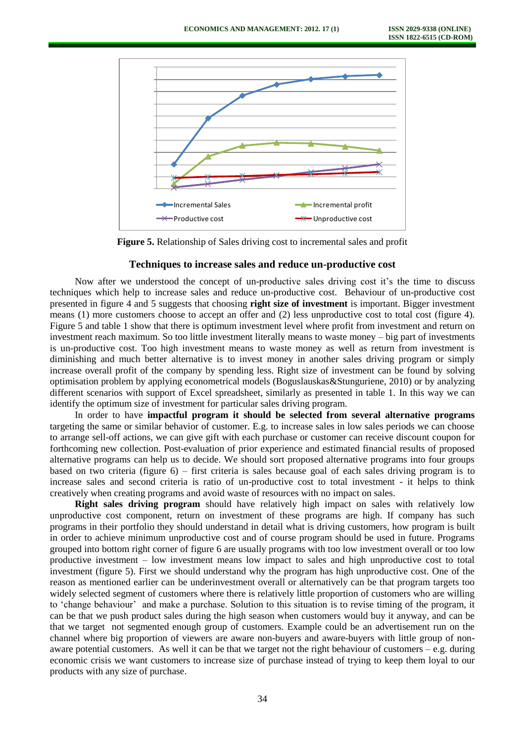

**Figure 5.** Relationship of Sales driving cost to incremental sales and profit

# **Techniques to increase sales and reduce un-productive cost**

Now after we understood the concept of un-productive sales driving cost it's the time to discuss techniques which help to increase sales and reduce un-productive cost. Behaviour of un-productive cost presented in figure 4 and 5 suggests that choosing **right size of investment** is important. Bigger investment means (1) more customers choose to accept an offer and (2) less unproductive cost to total cost (figure 4). Figure 5 and table 1 show that there is optimum investment level where profit from investment and return on investment reach maximum. So too little investment literally means to waste money – big part of investments is un-productive cost. Too high investment means to waste money as well as return from investment is diminishing and much better alternative is to invest money in another sales driving program or simply increase overall profit of the company by spending less. Right size of investment can be found by solving optimisation problem by applying econometrical models (Boguslauskas&Stunguriene, 2010) or by analyzing different scenarios with support of Excel spreadsheet, similarly as presented in table 1. In this way we can identify the optimum size of investment for particular sales driving program.

In order to have **impactful program it should be selected from several alternative programs** targeting the same or similar behavior of customer. E.g. to increase sales in low sales periods we can choose to arrange sell-off actions, we can give gift with each purchase or customer can receive discount coupon for forthcoming new collection. Post-evaluation of prior experience and estimated financial results of proposed alternative programs can help us to decide. We should sort proposed alternative programs into four groups based on two criteria (figure 6) – first criteria is sales because goal of each sales driving program is to increase sales and second criteria is ratio of un-productive cost to total investment - it helps to think creatively when creating programs and avoid waste of resources with no impact on sales.

**Right sales driving program** should have relatively high impact on sales with relatively low unproductive cost component, return on investment of these programs are high. If company has such programs in their portfolio they should understand in detail what is driving customers, how program is built in order to achieve minimum unproductive cost and of course program should be used in future. Programs grouped into bottom right corner of figure 6 are usually programs with too low investment overall or too low productive investment – low investment means low impact to sales and high unproductive cost to total investment (figure 5). First we should understand why the program has high unproductive cost. One of the reason as mentioned earlier can be underinvestment overall or alternatively can be that program targets too widely selected segment of customers where there is relatively little proportion of customers who are willing to 'change behaviour' and make a purchase. Solution to this situation is to revise timing of the program, it can be that we push product sales during the high season when customers would buy it anyway, and can be that we target not segmented enough group of customers. Example could be an advertisement run on the channel where big proportion of viewers are aware non-buyers and aware-buyers with little group of nonaware potential customers. As well it can be that we target not the right behaviour of customers – e.g. during economic crisis we want customers to increase size of purchase instead of trying to keep them loyal to our products with any size of purchase.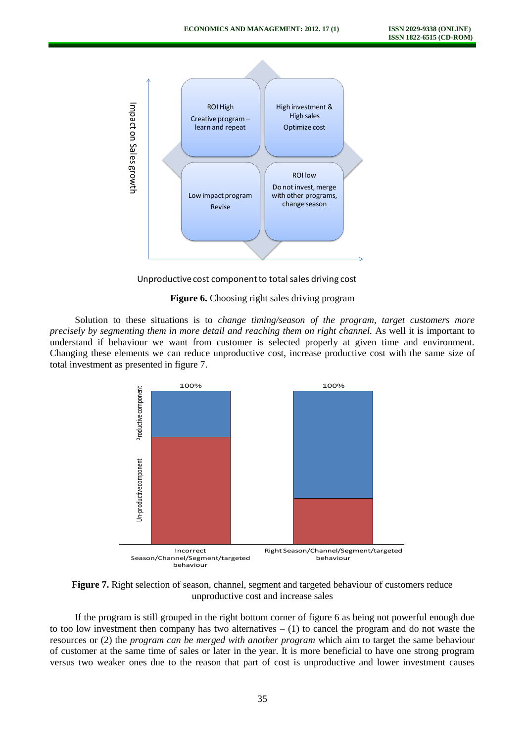

Unproductive cost component to total sales driving cost

#### **Figure 6.** Choosing right sales driving program

Solution to these situations is to *change timing/season of the program, target customers more precisely by segmenting them in more detail and reaching them on right channel.* As well it is important to understand if behaviour we want from customer is selected properly at given time and environment. Changing these elements we can reduce unproductive cost, increase productive cost with the same size of total investment as presented in figure 7.



**Figure 7.** Right selection of season, channel, segment and targeted behaviour of customers reduce unproductive cost and increase sales

If the program is still grouped in the right bottom corner of figure 6 as being not powerful enough due to too low investment then company has two alternatives  $- (1)$  to cancel the program and do not waste the resources or (2) the *program can be merged with another program* which aim to target the same behaviour of customer at the same time of sales or later in the year. It is more beneficial to have one strong program versus two weaker ones due to the reason that part of cost is unproductive and lower investment causes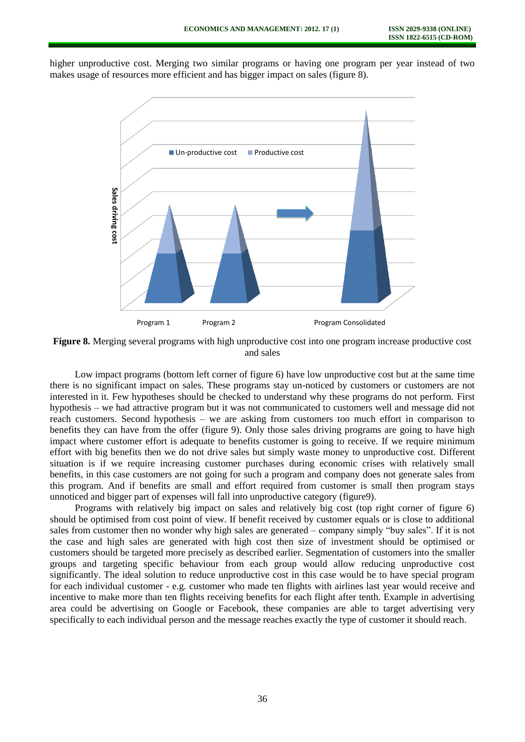higher unproductive cost. Merging two similar programs or having one program per year instead of two makes usage of resources more efficient and has bigger impact on sales (figure 8).



**Figure 8.** Merging several programs with high unproductive cost into one program increase productive cost and sales

Low impact programs (bottom left corner of figure 6) have low unproductive cost but at the same time there is no significant impact on sales. These programs stay un-noticed by customers or customers are not interested in it. Few hypotheses should be checked to understand why these programs do not perform. First hypothesis – we had attractive program but it was not communicated to customers well and message did not reach customers. Second hypothesis – we are asking from customers too much effort in comparison to benefits they can have from the offer (figure 9). Only those sales driving programs are going to have high impact where customer effort is adequate to benefits customer is going to receive. If we require minimum effort with big benefits then we do not drive sales but simply waste money to unproductive cost. Different situation is if we require increasing customer purchases during economic crises with relatively small benefits, in this case customers are not going for such a program and company does not generate sales from this program. And if benefits are small and effort required from customer is small then program stays unnoticed and bigger part of expenses will fall into unproductive category (figure9).

Programs with relatively big impact on sales and relatively big cost (top right corner of figure 6) should be optimised from cost point of view. If benefit received by customer equals or is close to additional sales from customer then no wonder why high sales are generated – company simply "buy sales". If it is not the case and high sales are generated with high cost then size of investment should be optimised or customers should be targeted more precisely as described earlier. Segmentation of customers into the smaller groups and targeting specific behaviour from each group would allow reducing unproductive cost significantly. The ideal solution to reduce unproductive cost in this case would be to have special program for each individual customer - e.g. customer who made ten flights with airlines last year would receive and incentive to make more than ten flights receiving benefits for each flight after tenth. Example in advertising area could be advertising on Google or Facebook, these companies are able to target advertising very specifically to each individual person and the message reaches exactly the type of customer it should reach.